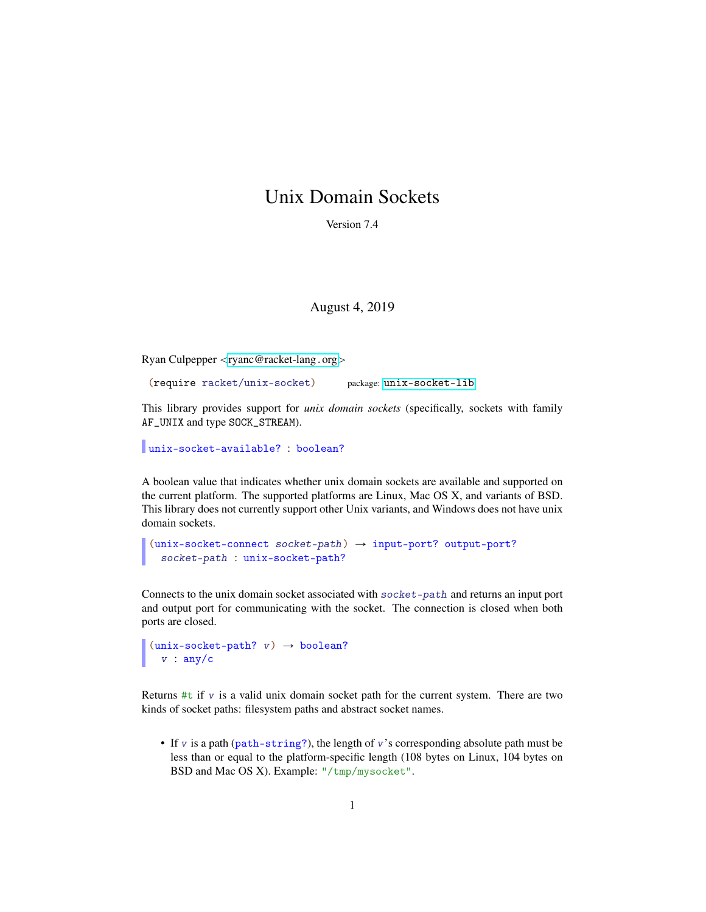## Unix Domain Sockets

Version 7.4

August 4, 2019

Ryan Culpepper <[ryanc@racket-lang](mailto:ryanc@racket-lang.org).org>

(require racket/unix-socket) package: [unix-socket-lib](https://pkgs.racket-lang.org/package/unix-socket-lib)

This library provides support for *unix domain sockets* (specifically, sockets with family AF\_UNIX and type SOCK\_STREAM).

unix-socket-available? : boolean?

A boolean value that indicates whether unix domain sockets are available and supported on the current platform. The supported platforms are Linux, Mac OS X, and variants of BSD. This library does not currently support other Unix variants, and Windows does not have unix domain sockets.

```
(unix-sockets-connect\; socket-path) \rightarrow input-port? output-port?socket-path : unix-socket-path?
```
Connects to the unix domain socket associated with socket-path and returns an input port and output port for communicating with the socket. The connection is closed when both ports are closed.

```
(unix-sockets-path? v) \rightarrow boolean?v : any/c
```
Returns  $#t$  if v is a valid unix domain socket path for the current system. There are two kinds of socket paths: filesystem paths and abstract socket names.

• If  $v$  is a path ( $path\text{-string}$ ?), the length of  $v$ 's corresponding absolute path must be less than or equal to the platform-specific length (108 bytes on Linux, 104 bytes on BSD and Mac OS X). Example: "/tmp/mysocket".